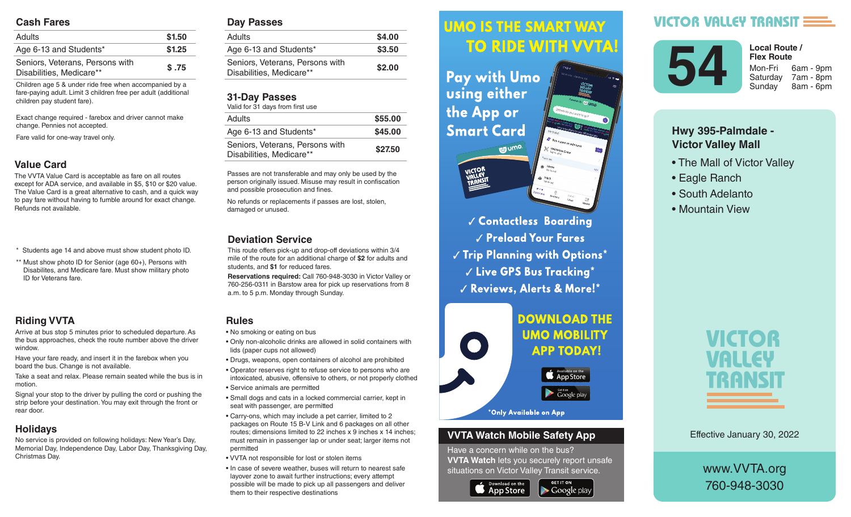#### **Cash Fares**

| <b>Adults</b>                                               | \$1.50 |
|-------------------------------------------------------------|--------|
| Age 6-13 and Students*                                      | \$1.25 |
| Seniors, Veterans, Persons with<br>Disabilities, Medicare** | \$.75  |

Children age 5 & under ride free when accompanied by a fare-paying adult. Limit 3 children free per adult (additional children pay student fare).

Exact change required - farebox and driver cannot make change. Pennies not accepted.

Fare valid for one-way travel only.

## **Value Card**

The VVTA Value Card is acceptable as fare on all routes except for ADA service, and available in \$5, \$10 or \$20 value. The Value Card is a great alternative to cash, and a quick way to pay fare without having to fumble around for exact change. Refunds not available.

- \* Students age 14 and above must show student photo ID.
- \*\* Must show photo ID for Senior (age 60+), Persons with Disabilites, and Medicare fare. Must show military photo ID for Veterans fare.

## **Riding VVTA**

Arrive at bus stop 5 minutes prior to scheduled departure. As the bus approaches, check the route number above the driver window.

Have your fare ready, and insert it in the farebox when you board the bus. Change is not available.

Take a seat and relax. Please remain seated while the bus is in motion.

Signal your stop to the driver by pulling the cord or pushing the strip before your destination. You may exit through the front or rear door.

## **Holidays**

No service is provided on following holidays: New Year's Day, Memorial Day, Independence Day, Labor Day, Thanksgiving Day, Christmas Day.

#### **Day Passes**

| Adults                                                      | \$4.00 |
|-------------------------------------------------------------|--------|
| Age 6-13 and Students*                                      | \$3.50 |
| Seniors, Veterans, Persons with<br>Disabilities, Medicare** | \$2.00 |
|                                                             |        |

#### **31-Day Passes**

| Valid for 31 days from first use                            |         |
|-------------------------------------------------------------|---------|
| Adults                                                      | \$55.00 |
| Age 6-13 and Students*                                      | \$45.00 |
| Seniors, Veterans, Persons with<br>Disabilities, Medicare** | \$27.50 |

Passes are not transferable and may only be used by the person originally issued. Misuse may result in confiscation and possible prosecution and fines.

No refunds or replacements if passes are lost, stolen, damaged or unused.

#### **Deviation Service**

This route offers pick-up and drop-off deviations within 3/4 mile of the route for an additional charge of **\$2** for adults and students, and **\$1** for reduced fares.

**Reservations required:** Call 760-948-3030 in Victor Valley or 760-256-0311 in Barstow area for pick up reservations from 8 a.m. to 5 p.m. Monday through Sunday.

## **Rules**

- No smoking or eating on bus
- Only non-alcoholic drinks are allowed in solid containers with lids (paper cups not allowed)
- Drugs, weapons, open containers of alcohol are prohibited
- Operator reserves right to refuse service to persons who are intoxicated, abusive, offensive to others, or not properly clothed • Service animals are permitted
- Small dogs and cats in a locked commercial carrier, kept in seat with passenger, are permitted
- Carry-ons, which may include a pet carrier, limited to 2 packages on Route 15 B-V Link and 6 packages on all other routes; dimensions limited to 22 inches x 9 inches x 14 inches; must remain in passenger lap or under seat; larger items not permitted
- VVTA not responsible for lost or stolen items
- In case of severe weather, buses will return to nearest safe layover zone to await further instructions; every attempt possible will be made to pick up all passengers and deliver them to their respective destinations

#### *<u>UMO IS THE SMART WAY</u>* Arrive at bus stop 5 minutes prior to scheduled departure. As the bus approximation of the bus approximation of the bus approximation of the bus approximation route number above the driver window.

 $\mathbf{h}$  , and it is instructed in the farebox insert in the farebox  $\mathbf{h}$ **Fay with UMO AND SOLUTE:** Using either the bus is in motion.  $\mathbf{S}$  since the driver by pulling the driver by pulling the cord or  $\mathbf{S}$ **Smart Card** exit through the front or real documents of the front or real documents of the front or real documents of the front or real documents of the front or real documents of the front or real documents of the front or real docum



 *Contactless Boarding*  $\sqrt{\frac{P_{\text{rel}}}{P_{\text{rad}}}}$  Preload Your Fares  $\parallel$   $\parallel$   $\parallel$  rip rignning with Uptions  $\parallel$  $\sim$   $\sim$   $\sim$   $\sim$  CPS Rus Tracking  $^{\star}$ are intoxicated, abusive, offensive to others, or not properly √ Reviews, Alerts & More!\*



### **VVTA Watch Mobile Safety App**

Have a concern while on the bus? **VVTA Watch** lets you securely report unsafe situations on Victor Valley Transit service.

**GET IT ON** 

 $\blacktriangleright$  Google play



# **VICTOR VALLEY TRANSIT E**



**Ex Route**<br>
Flex Route<br>
Mon-Fri 6am - 9pm<br>
Saturday 7am - 8pm<br>
Sunday 8am - 6pm Saturday 7am - 8pm Sunday 8am - 6pm **Local Route / Flex Route**

## **Hwy 395-Palmdale - Victor Valley Mall**

- The Mall of Victor Valley
- Eagle Ranch
- South Adelanto
- Mountain View



Effective January 30, 2022

www.VVTA.org 760-948-3030